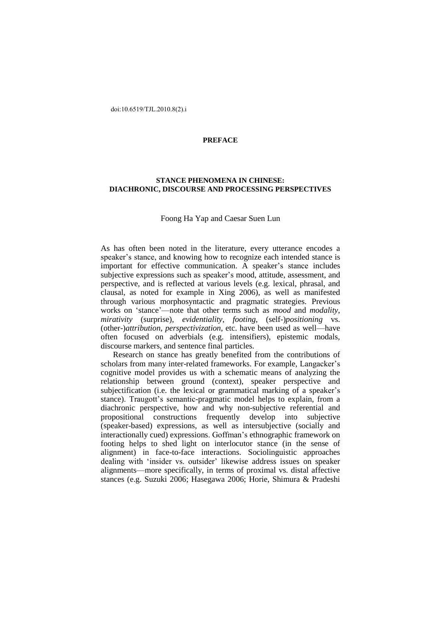## **PREFACE**

## **STANCE PHENOMENA IN CHINESE: DIACHRONIC, DISCOURSE AND PROCESSING PERSPECTIVES**

## Foong Ha Yap and Caesar Suen Lun

As has often been noted in the literature, every utterance encodes a speaker's stance, and knowing how to recognize each intended stance is important for effective communication. A speaker's stance includes subjective expressions such as speaker's mood, attitude, assessment, and perspective, and is reflected at various levels (e.g. lexical, phrasal, and clausal, as noted for example in Xing 2006), as well as manifested through various morphosyntactic and pragmatic strategies. Previous works on 'stance'—note that other terms such as *mood* and *modality*, *mirativity* (surprise), *evidentiality*, *footing*, (self-)*positioning* vs. (other-)*attribution*, *perspectivization*, etc. have been used as well—have often focused on adverbials (e.g. intensifiers), epistemic modals, discourse markers, and sentence final particles.

Research on stance has greatly benefited from the contributions of scholars from many inter-related frameworks. For example, Langacker's cognitive model provides us with a schematic means of analyzing the relationship between ground (context), speaker perspective and subjectification (i.e. the lexical or grammatical marking of a speaker's stance). Traugott's semantic-pragmatic model helps to explain, from a diachronic perspective, how and why non-subjective referential and propositional constructions frequently develop into subjective (speaker-based) expressions, as well as intersubjective (socially and interactionally cued) expressions. Goffman's ethnographic framework on footing helps to shed light on interlocutor stance (in the sense of alignment) in face-to-face interactions. Sociolinguistic approaches dealing with 'insider vs. outsider' likewise address issues on speaker alignments—more specifically, in terms of proximal vs. distal affective stances (e.g. Suzuki 2006; Hasegawa 2006; Horie, Shimura & Pradeshi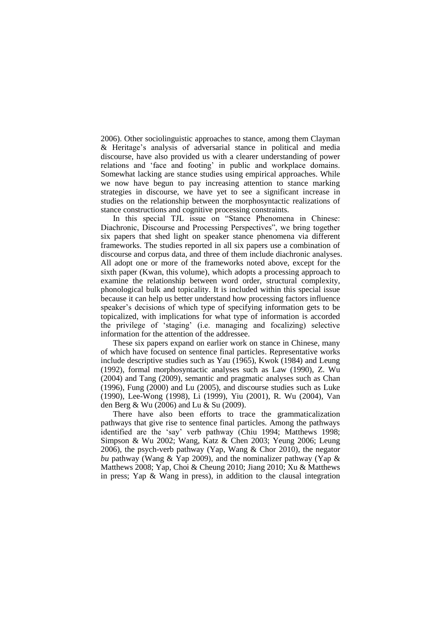2006). Other sociolinguistic approaches to stance, among them Clayman & Heritage's analysis of adversarial stance in political and media discourse, have also provided us with a clearer understanding of power relations and 'face and footing' in public and workplace domains. Somewhat lacking are stance studies using empirical approaches. While we now have begun to pay increasing attention to stance marking strategies in discourse, we have yet to see a significant increase in studies on the relationship between the morphosyntactic realizations of stance constructions and cognitive processing constraints.

In this special TJL issue on "Stance Phenomena in Chinese: Diachronic, Discourse and Processing Perspectives", we bring together six papers that shed light on speaker stance phenomena via different frameworks. The studies reported in all six papers use a combination of discourse and corpus data, and three of them include diachronic analyses. All adopt one or more of the frameworks noted above, except for the sixth paper (Kwan, this volume), which adopts a processing approach to examine the relationship between word order, structural complexity, phonological bulk and topicality. It is included within this special issue because it can help us better understand how processing factors influence speaker's decisions of which type of specifying information gets to be topicalized, with implications for what type of information is accorded the privilege of ‗staging' (i.e. managing and focalizing) selective information for the attention of the addressee.

These six papers expand on earlier work on stance in Chinese, many of which have focused on sentence final particles. Representative works include descriptive studies such as Yau (1965), Kwok (1984) and Leung (1992), formal morphosyntactic analyses such as Law (1990), Z. Wu (2004) and Tang (2009), semantic and pragmatic analyses such as Chan (1996), Fung (2000) and Lu (2005), and discourse studies such as Luke (1990), Lee-Wong (1998), Li (1999), Yiu (2001), R. Wu (2004), Van den Berg & Wu (2006) and Lu & Su (2009).

There have also been efforts to trace the grammaticalization pathways that give rise to sentence final particles. Among the pathways identified are the 'say' verb pathway (Chiu 1994; Matthews 1998; Simpson & Wu 2002; Wang, Katz & Chen 2003; Yeung 2006; Leung 2006), the psych-verb pathway (Yap, Wang & Chor 2010), the negator *bu* pathway (Wang & Yap 2009), and the nominalizer pathway (Yap & Matthews 2008; Yap, Choi & Cheung 2010; Jiang 2010; Xu & Matthews in press; Yap & Wang in press), in addition to the clausal integration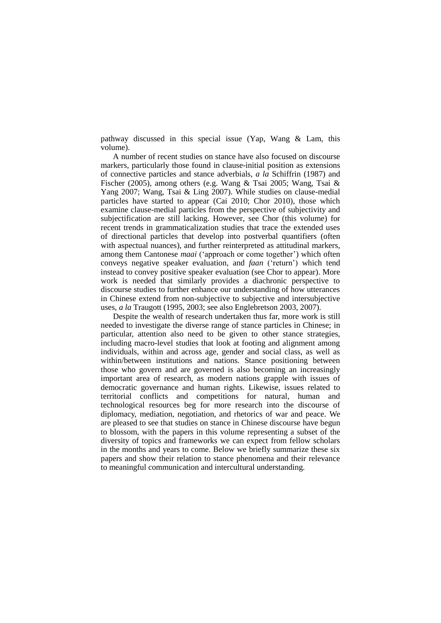pathway discussed in this special issue (Yap, Wang & Lam, this volume).

A number of recent studies on stance have also focused on discourse markers, particularly those found in clause-initial position as extensions of connective particles and stance adverbials, *a la* Schiffrin (1987) and Fischer (2005), among others (e.g. Wang & Tsai 2005; Wang, Tsai & Yang 2007; Wang, Tsai & Ling 2007). While studies on clause-medial particles have started to appear (Cai 2010; Chor 2010), those which examine clause-medial particles from the perspective of subjectivity and subjectification are still lacking. However, see Chor (this volume) for recent trends in grammaticalization studies that trace the extended uses of directional particles that develop into postverbal quantifiers (often with aspectual nuances), and further reinterpreted as attitudinal markers, among them Cantonese *maai* ('approach or come together') which often conveys negative speaker evaluation, and *faan* (‗return') which tend instead to convey positive speaker evaluation (see Chor to appear). More work is needed that similarly provides a diachronic perspective to discourse studies to further enhance our understanding of how utterances in Chinese extend from non-subjective to subjective and intersubjective uses, *a la* Traugott (1995, 2003; see also Englebretson 2003, 2007).

Despite the wealth of research undertaken thus far, more work is still needed to investigate the diverse range of stance particles in Chinese; in particular, attention also need to be given to other stance strategies, including macro-level studies that look at footing and alignment among individuals, within and across age, gender and social class, as well as within/between institutions and nations. Stance positioning between those who govern and are governed is also becoming an increasingly important area of research, as modern nations grapple with issues of democratic governance and human rights. Likewise, issues related to territorial conflicts and competitions for natural, human and technological resources beg for more research into the discourse of diplomacy, mediation, negotiation, and rhetorics of war and peace. We are pleased to see that studies on stance in Chinese discourse have begun to blossom, with the papers in this volume representing a subset of the diversity of topics and frameworks we can expect from fellow scholars in the months and years to come. Below we briefly summarize these six papers and show their relation to stance phenomena and their relevance to meaningful communication and intercultural understanding.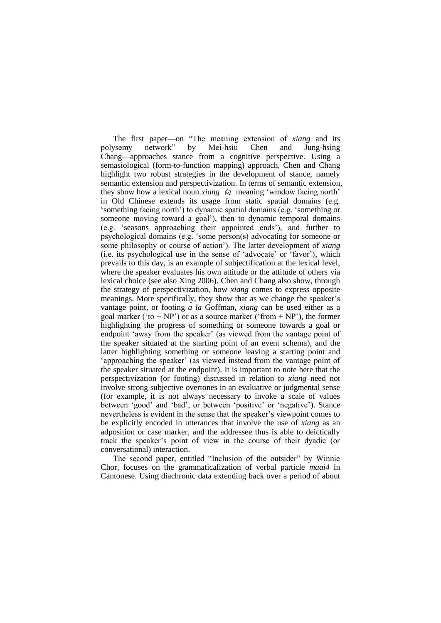The first paper—on "The meaning extension of *xiang* and its polysemy network‖ by Mei-hsiu Chen and Jung-hsing Chang—approaches stance from a cognitive perspective. Using a semasiological (form-to-function mapping) approach, Chen and Chang highlight two robust strategies in the development of stance, namely semantic extension and perspectivization. In terms of semantic extension, they show how a lexical noun *xiang* 向 meaning 'window facing north' in Old Chinese extends its usage from static spatial domains (e.g. ‗something facing north') to dynamic spatial domains (e.g. ‗something or someone moving toward a goal'), then to dynamic temporal domains (e.g. ‗seasons approaching their appointed ends'), and further to psychological domains (e.g. 'some person(s) advocating for someone or some philosophy or course of action'). The latter development of *xiang* (i.e. its psychological use in the sense of ‗advocate' or ‗favor'), which prevails to this day, is an example of subjectification at the lexical level, where the speaker evaluates his own attitude or the attitude of others via lexical choice (see also Xing 2006). Chen and Chang also show, through the strategy of perspectivization, how *xiang* comes to express opposite meanings. More specifically, they show that as we change the speaker's vantage point, or footing *a la* Goffman, *xiang* can be used either as a goal marker ('to + NP') or as a source marker ('from + NP'), the former highlighting the progress of something or someone towards a goal or endpoint ‗away from the speaker' (as viewed from the vantage point of the speaker situated at the starting point of an event schema), and the latter highlighting something or someone leaving a starting point and 'approaching the speaker' (as viewed instead from the vantage point of the speaker situated at the endpoint). It is important to note here that the perspectivization (or footing) discussed in relation to *xiang* need not involve strong subjective overtones in an evaluative or judgmental sense (for example, it is not always necessary to invoke a scale of values between 'good' and 'bad', or between 'positive' or 'negative'). Stance nevertheless is evident in the sense that the speaker's viewpoint comes to be explicitly encoded in utterances that involve the use of *xiang* as an adposition or case marker, and the addressee thus is able to deictically track the speaker's point of view in the course of their dyadic (or conversational) interaction.

The second paper, entitled "Inclusion of the outsider" by Winnie Chor, focuses on the grammaticalization of verbal particle *maai4* in Cantonese. Using diachronic data extending back over a period of about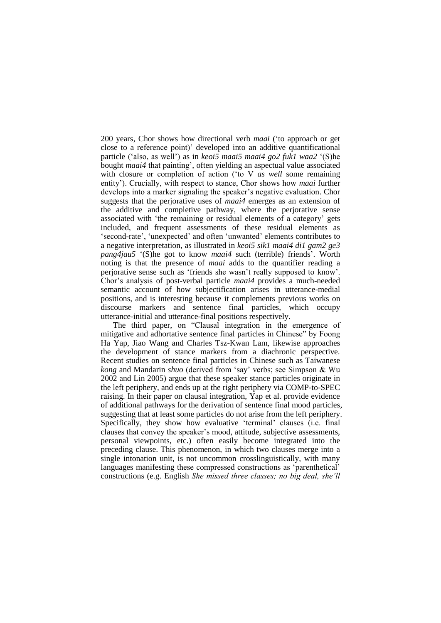200 years, Chor shows how directional verb *maai* (‗to approach or get close to a reference point)' developed into an additive quantificational particle (‗also, as well') as in *keoi5 maai5 maai4 go2 fuk1 waa2* ‗(S)he bought *maai4* that painting', often yielding an aspectual value associated with closure or completion of action ('to V *as well* some remaining entity'). Crucially, with respect to stance, Chor shows how *maai* further develops into a marker signaling the speaker's negative evaluation. Chor suggests that the perjorative uses of *maai4* emerges as an extension of the additive and completive pathway, where the perjorative sense associated with 'the remaining or residual elements of a category' gets included, and frequent assessments of these residual elements as ‗second-rate', ‗unexpected' and often ‗unwanted' elements contributes to a negative interpretation, as illustrated in *keoi5 sik1 maai4 di1 gam2 ge3 pang4jau5* ‗(S)he got to know *maai4* such (terrible) friends'. Worth noting is that the presence of *maai* adds to the quantifier reading a perjorative sense such as ‗friends she wasn't really supposed to know'. Chor's analysis of post-verbal particle *maai4* provides a much-needed semantic account of how subjectification arises in utterance-medial positions, and is interesting because it complements previous works on discourse markers and sentence final particles, which occupy utterance-initial and utterance-final positions respectively.

The third paper, on "Clausal integration in the emergence of mitigative and adhortative sentence final particles in Chinese" by Foong Ha Yap, Jiao Wang and Charles Tsz-Kwan Lam, likewise approaches the development of stance markers from a diachronic perspective. Recent studies on sentence final particles in Chinese such as Taiwanese *kong* and Mandarin *shuo* (derived from 'say' verbs; see Simpson & Wu 2002 and Lin 2005) argue that these speaker stance particles originate in the left periphery, and ends up at the right periphery via COMP-to-SPEC raising. In their paper on clausal integration, Yap et al. provide evidence of additional pathways for the derivation of sentence final mood particles, suggesting that at least some particles do not arise from the left periphery. Specifically, they show how evaluative 'terminal' clauses (i.e. final clauses that convey the speaker's mood, attitude, subjective assessments, personal viewpoints, etc.) often easily become integrated into the preceding clause. This phenomenon, in which two clauses merge into a single intonation unit, is not uncommon crosslinguistically, with many languages manifesting these compressed constructions as 'parenthetical' constructions (e.g. English *She missed three classes; no big deal, she'll*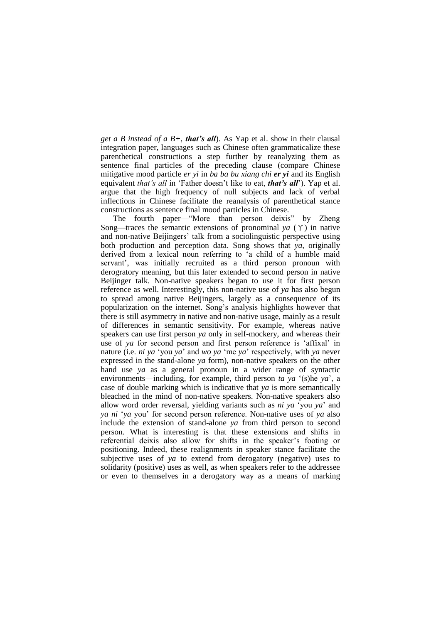*get a B instead of a B+, that's all*). As Yap et al. show in their clausal integration paper, languages such as Chinese often grammaticalize these parenthetical constructions a step further by reanalyzing them as sentence final particles of the preceding clause (compare Chinese mitigative mood particle *er yi* in *ba ba bu xiang chi er yi* and its English equivalent *that's all* in 'Father doesn't like to eat, *that's all*'). Yap et al. argue that the high frequency of null subjects and lack of verbal inflections in Chinese facilitate the reanalysis of parenthetical stance constructions as sentence final mood particles in Chinese.

The fourth paper—"More than person deixis" by Zheng Song—traces the semantic extensions of pronominal *ya*  $(Y)$  in native and non-native Beijingers' talk from a sociolinguistic perspective using both production and perception data. Song shows that *ya*, originally derived from a lexical noun referring to 'a child of a humble maid servant', was initially recruited as a third person pronoun with derogratory meaning, but this later extended to second person in native Beijinger talk. Non-native speakers began to use it for first person reference as well. Interestingly, this non-native use of *ya* has also begun to spread among native Beijingers, largely as a consequence of its popularization on the internet. Song's analysis highlights however that there is still asymmetry in native and non-native usage, mainly as a result of differences in semantic sensitivity. For example, whereas native speakers can use first person *ya* only in self-mockery, and whereas their use of *ya* for second person and first person reference is 'affixal' in nature (i.e. *ni ya* 'you *ya*' and *wo ya* 'me *ya*' respectively, with *ya* never expressed in the stand-alone *ya* form), non-native speakers on the other hand use *ya* as a general pronoun in a wider range of syntactic environments—including, for example, third person *ta ya* '(s)he *ya*', a case of double marking which is indicative that *ya* is more semantically bleached in the mind of non-native speakers. Non-native speakers also allow word order reversal, yielding variants such as *ni ya* ‗you *ya*' and *ya ni* ‗*ya* you' for second person reference. Non-native uses of *ya* also include the extension of stand-alone *ya* from third person to second person. What is interesting is that these extensions and shifts in referential deixis also allow for shifts in the speaker's footing or positioning. Indeed, these realignments in speaker stance facilitate the subjective uses of *ya* to extend from derogatory (negative) uses to solidarity (positive) uses as well, as when speakers refer to the addressee or even to themselves in a derogatory way as a means of marking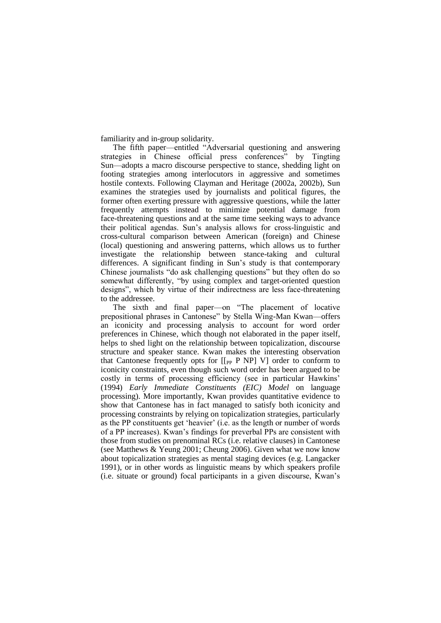familiarity and in-group solidarity.

The fifth paper—entitled "Adversarial questioning and answering strategies in Chinese official press conferences" by Tingting Sun—adopts a macro discourse perspective to stance, shedding light on footing strategies among interlocutors in aggressive and sometimes hostile contexts. Following Clayman and Heritage (2002a, 2002b), Sun examines the strategies used by journalists and political figures, the former often exerting pressure with aggressive questions, while the latter frequently attempts instead to minimize potential damage from face-threatening questions and at the same time seeking ways to advance their political agendas. Sun's analysis allows for cross-linguistic and cross-cultural comparison between American (foreign) and Chinese (local) questioning and answering patterns, which allows us to further investigate the relationship between stance-taking and cultural differences. A significant finding in Sun's study is that contemporary Chinese journalists "do ask challenging questions" but they often do so somewhat differently, "by using complex and target-oriented question designs", which by virtue of their indirectness are less face-threatening to the addressee.

The sixth and final paper—on "The placement of locative prepositional phrases in Cantonese" by Stella Wing-Man Kwan—offers an iconicity and processing analysis to account for word order preferences in Chinese, which though not elaborated in the paper itself, helps to shed light on the relationship between topicalization, discourse structure and speaker stance. Kwan makes the interesting observation that Cantonese frequently opts for  $\lceil \nceil_{PP} P NP \rceil$  V] order to conform to iconicity constraints, even though such word order has been argued to be costly in terms of processing efficiency (see in particular Hawkins' (1994) *Early Immediate Constituents (EIC) Model* on language processing). More importantly, Kwan provides quantitative evidence to show that Cantonese has in fact managed to satisfy both iconicity and processing constraints by relying on topicalization strategies, particularly as the PP constituents get 'heavier' (i.e. as the length or number of words of a PP increases). Kwan's findings for preverbal PPs are consistent with those from studies on prenominal RCs (i.e. relative clauses) in Cantonese (see Matthews & Yeung 2001; Cheung 2006). Given what we now know about topicalization strategies as mental staging devices (e.g. Langacker 1991), or in other words as linguistic means by which speakers profile (i.e. situate or ground) focal participants in a given discourse, Kwan's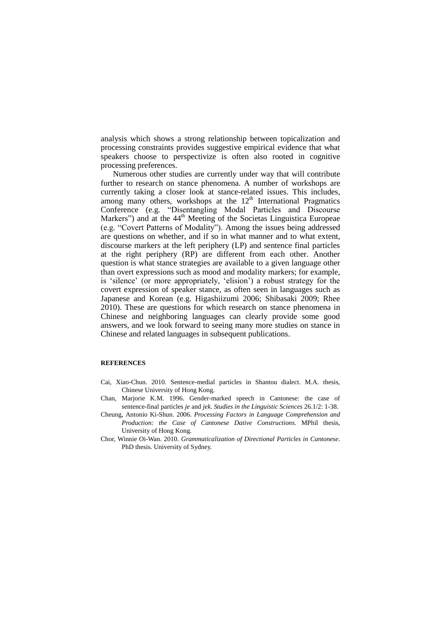analysis which shows a strong relationship between topicalization and processing constraints provides suggestive empirical evidence that what speakers choose to perspectivize is often also rooted in cognitive processing preferences.

Numerous other studies are currently under way that will contribute further to research on stance phenomena. A number of workshops are currently taking a closer look at stance-related issues. This includes, among many others, workshops at the  $12<sup>th</sup>$  International Pragmatics Conference (e.g. "Disentangling Modal Particles and Discourse Markers") and at the 44<sup>th</sup> Meeting of the Societas Linguistica Europeae (e.g. "Covert Patterns of Modality"). Among the issues being addressed are questions on whether, and if so in what manner and to what extent, discourse markers at the left periphery (LP) and sentence final particles at the right periphery (RP) are different from each other. Another question is what stance strategies are available to a given language other than overt expressions such as mood and modality markers; for example, is 'silence' (or more appropriately, 'elision') a robust strategy for the covert expression of speaker stance, as often seen in languages such as Japanese and Korean (e.g. Higashiizumi 2006; Shibasaki 2009; Rhee 2010). These are questions for which research on stance phenomena in Chinese and neighboring languages can clearly provide some good answers, and we look forward to seeing many more studies on stance in Chinese and related languages in subsequent publications.

## **REFERENCES**

- Cai, Xiao-Chun. 2010. Sentence-medial particles in Shantou dialect. M.A. thesis, Chinese University of Hong Kong.
- Chan, Marjorie K.M. 1996. Gender-marked speech in Cantonese: the case of sentence-final particles *je* and *jek*. *Studies in the Linguistic Sciences* 26.1/2: 1-38.
- Cheung, Antonio Ki-Shun. 2006. *Processing Factors in Language Comprehension and Production: the Case of Cantonese Dative Constructions*. MPhil thesis, University of Hong Kong.
- Chor, Winnie Oi-Wan. 2010. *Grammaticalization of Directional Particles in Cantonese*. PhD thesis. University of Sydney.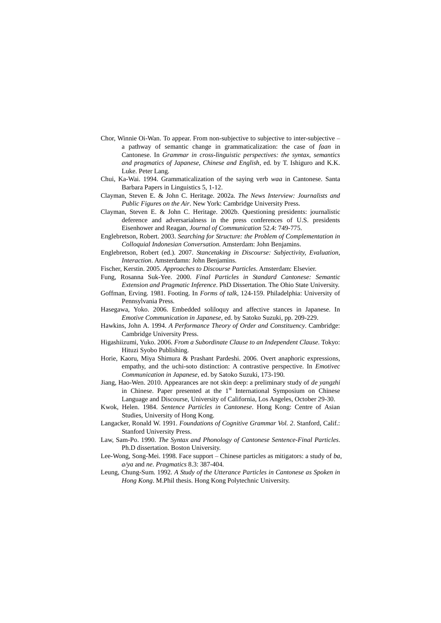- Chor, Winnie Oi-Wan. To appear. From non-subjective to subjective to inter-subjective a pathway of semantic change in grammaticalization: the case of *faan* in Cantonese. In *Grammar in cross-linguistic perspectives: the syntax, semantics and pragmatics of Japanese, Chinese and English*, ed. by T. Ishiguro and K.K. Luke. Peter Lang.
- Chui, Ka-Wai. 1994. Grammaticalization of the saying verb *waa* in Cantonese. Santa Barbara Papers in Linguistics 5, 1-12.
- Clayman, Steven E. & John C. Heritage. 2002a. *The News Interview: Journalists and Public Figures on the Air*. New York: Cambridge University Press.
- Clayman, Steven E. & John C. Heritage. 2002b. Questioning presidents: journalistic deference and adversarialness in the press conferences of U.S. presidents Eisenhower and Reagan, *Journal of Communication* 52.4: 749-775.
- Englebretson, Robert. 2003. *Searching for Structure: the Problem of Complementation in Colloquial Indonesian Conversation.* Amsterdam: John Benjamins.
- Englebretson, Robert (ed.). 2007. *Stancetaking in Discourse: Subjectivity, Evaluation, Interaction*. Amsterdamn: John Benjamins.
- Fischer, Kerstin. 2005. *Approaches to Discourse Particles*. Amsterdam: Elsevier.
- Fung, Rosanna Suk-Yee. 2000. *Final Particles in Standard Cantonese: Semantic Extension and Pragmatic Inference*. PhD Dissertation. The Ohio State University.
- Goffman, Erving. 1981. Footing. In *Forms of talk*, 124-159. Philadelphia: University of Pennsylvania Press.
- Hasegawa, Yoko. 2006. Embedded soliloquy and affective stances in Japanese. In *Emotive Communication in Japanese*, ed. by Satoko Suzuki, pp. 209-229.
- Hawkins, John A. 1994. *A Performance Theory of Order and Constituency*. Cambridge: Cambridge University Press.
- Higashiizumi, Yuko. 2006. *From a Subordinate Clause to an Independent Clause*. Tokyo: Hituzi Syobo Publishing.
- Horie, Kaoru, Miya Shimura & Prashant Pardeshi. 2006. Overt anaphoric expressions, empathy, and the uchi-soto distinction: A contrastive perspective. In *Emotivec Communication in Japanese*, ed. by Satoko Suzuki, 173-190.
- Jiang, Hao-Wen. 2010. Appearances are not skin deep: a preliminary study of *de yangzhi* in Chinese. Paper presented at the 1<sup>st</sup> International Symposium on Chinese Language and Discourse, University of California, Los Angeles, October 29-30.
- Kwok, Helen. 1984. *Sentence Particles in Cantonese*. Hong Kong: Centre of Asian Studies, University of Hong Kong.
- Langacker, Ronald W. 1991. *Foundations of Cognitive Grammar Vol. 2*. Stanford, Calif.: Stanford University Press.
- Law, Sam-Po. 1990. *The Syntax and Phonology of Cantonese Sentence-Final Particles*. Ph.D dissertation. Boston University.
- Lee-Wong, Song-Mei. 1998. Face support Chinese particles as mitigators: a study of *ba*, *a/ya* and *ne*. *Pragmatics* 8.3: 387-404.
- Leung, Chung-Sum. 1992. *A Study of the Utterance Particles in Cantonese as Spoken in Hong Kong*. M.Phil thesis. Hong Kong Polytechnic University.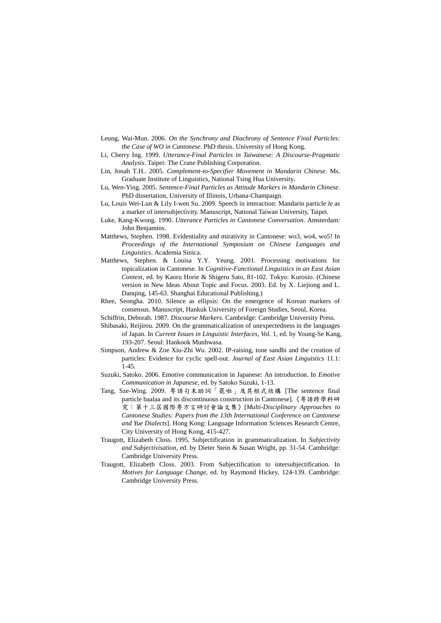- Leung, Wai-Mun. 2006. *On the Synchrony and Diachrony of Sentence Final Particles: the Case of WO in Cantonese*. PhD thesis. University of Hong Kong.
- Li, Cherry Ing. 1999. *Utterance-Final Particles in Taiwanese: A Discourse-Pragmatic Analysis*. Taipei: The Crane Publishing Corporation.
- Lin, Jonah T.H.. 2005. *Complement-to-Specifier Movement in Mandarin Chinese*. Ms. Graduate Institute of Linguistics, National Tsing Hua University.
- Lu, Wen-Ying. 2005. *Sentence-Final Particles as Attitude Markers in Mandarin Chinese*. PhD dissertation, University of Illinois, Urbana-Champaign.
- Lu, Louis Wei-Lun & Lily I-wen Su. 2009. Speech in interaction: Mandarin particle *le* as a marker of intersubjectivity. Manuscript, National Taiwan University, Taipei.
- Luke, Kang-Kwong. 1990. *Utterance Particles in Cantonese Conversation*. Amsterdam: John Benjamins.
- Matthews, Stephen. 1998. Evidentiality and mirativity in Cantonese: wo3, wo4, wo5! In *Proceedings of the International Symposium on Chinese Languages and Linguistics*. Academia Sinica.
- Matthews, Stephen. & Louisa Y.Y. Yeung. 2001. Processing motivations for topicalization in Cantonese. In *Cognitive-Functional Linguistics in an East Asian Context*, ed. by Kaoru Horie & Shigeru Sato, 81-102. Tokyo: Kurosio. (Chinese version in New Ideas About Topic and Focus. 2003. Ed. by X. Liejiong and L. Danqing, 145-63. Shanghai Educational Publishing.)
- Rhee, Seongha. 2010. Silence as ellipsis: On the emergence of Korean markers of consensus. Manuscript, Hankuk University of Foreign Studies, Seoul, Korea.
- Schiffrin, Deborah. 1987. *Discourse Markers.* Cambridge: Cambridge University Press.
- Shibasaki, Reijirou. 2009. On the grammaticalization of unexpectedness in the languages of Japan. In *Current Issues in Linguistic Interfaces, Vol.* 1, ed. by Young-Se Kang*,*  193-207. Seoul: Hankook Munhwasa.
- Simpson, Andrew & Zoe Xiu-Zhi Wu. 2002. IP-raising, tone sandhi and the creation of particles: Evidence for cyclic spell-out. *Journal of East Asian Linguistics* 11.1: 1-45.
- Suzuki, Satoko. 2006. Emotive communication in Japanese: An introduction. In *Emotive Communication in Japanese*, ed. by Satoko Suzuki, 1-13.
- Tang, Sze-Wing. 2009. [粵語句末助詞「罷啦」及其框式結構](http://www.swtang.net/doc/paper_2009_baalaa.pdf) [The sentence final particle baalaa and its discontinuous construction in Cantonese].《粵語跨學科研 究:第十三屆國際粵方言研討會論文集》[*Multi-Disciplinary Approaches to Cantonese Studies: Papers from the 13th International Conference on Cantonese and Yue Dialects*]. Hong Kong: Language Information Sciences Research Centre, City University of Hong Kong, 415-427.
- Traugott, Elizabeth Closs. 1995. Subjectification in grammaticalization. In *Subjectivity and Subjectivisation*, ed. by Dieter Stein & Susan Wright, pp. 31-54. Cambridge: Cambridge University Press.
- Traugott, Elizabeth Closs. 2003. From Subjectification to intersubjectification. In *Motives for Language Change*, ed. by Raymond Hickey, 124-139. Cambridge: Cambridge University Press.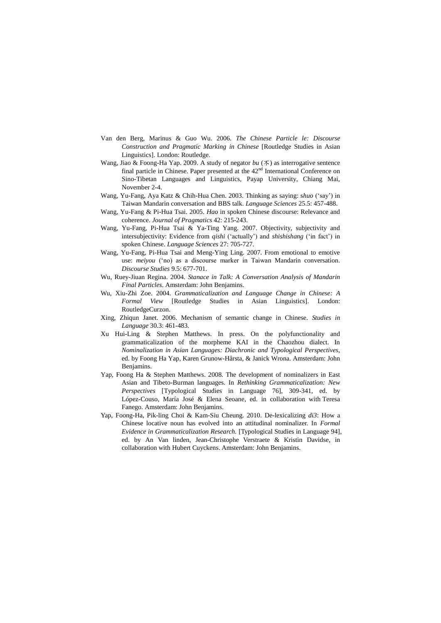- Van den Berg, Marinus & Guo Wu. 2006. *The Chinese Particle le: Discourse Construction and Pragmatic Marking in Chinese* [Routledge Studies in Asian Linguistics]. London: Routledge.
- Wang, Jiao & Foong-Ha Yap. 2009. A study of negator *bu* (不) as interrogative sentence final particle in Chinese. Paper presented at the  $42<sup>nd</sup>$  International Conference on Sino-Tibetan Languages and Linguistics, Payap University, Chiang Mai, November 2-4.
- Wang, Yu-Fang, Aya Katz & Chih-Hua Chen. 2003. Thinking as saying: s*huo* (‗say') in Taiwan Mandarin conversation and BBS talk. *Language Sciences* 25.5: 457-488.
- Wang, Yu-Fang & Pi-Hua Tsai. 2005. *Hao* in spoken Chinese discourse: Relevance and coherence. *Journal of Pragmatics* 42: 215-243.
- Wang, Yu-Fang, Pi-Hua Tsai & Ya-Ting Yang. 2007. Objectivity, subjectivity and intersubjectivity: Evidence from *qishi* ('actually') and *shishishang* ('in fact') in spoken Chinese. *Language Sciences* 27: 705-727.
- Wang, Yu-Fang, Pi-Hua Tsai and Meng-Ying Ling. 2007. From emotional to emotive use: *meiyou* ('no) as a discourse marker in Taiwan Mandarin conversation. *Discourse Studies* 9.5: 677-701.
- Wu, Ruey-Jiuan Regina. 2004. *Stanace in Talk: A Conversation Analysis of Mandarin Final Particles*. Amsterdam: John Benjamins.
- Wu, Xiu-Zhi Zoe. 2004. *Grammaticalization and Language Change in Chinese: A Formal View* [Routledge Studies in Asian Linguistics]. London: RoutledgeCurzon.
- Xing, Zhiqun Janet. 2006. Mechanism of semantic change in Chinese. *Studies in Language* 30.3: 461-483.
- Xu Hui-Ling & Stephen Matthews. In press. On the polyfunctionality and grammaticalization of the morpheme KAI in the Chaozhou dialect. In *Nominalization in Asian Languages: Diachronic and Typological Perspectives,*  ed. by Foong Ha Yap, Karen Grunow-Hårsta, & Janick Wrona. Amsterdam: John Benjamins.
- Yap, Foong Ha & Stephen Matthews. 2008. The development of nominalizers in East Asian and Tibeto-Burman languages. In *Rethinking Grammaticalization: New Perspectives* [Typological Studies in Language 76], 309-341, ed. by López-Couso, María José & Elena Seoane, ed. in collaboration with Teresa Fanego. Amsterdam: John Benjamins.
- Yap, Foong-Ha, Pik-ling Choi & Kam-Siu Cheung. 2010. De-lexicalizing *di3*: How a Chinese locative noun has evolved into an attitudinal nominalizer. In *Formal Evidence in Grammaticalization Research.* [Typological Studies in Language 94], ed. by An Van linden, Jean-Christophe Verstraete & Kristin Davidse, in collaboration with Hubert Cuyckens. Amsterdam: John Benjamins.